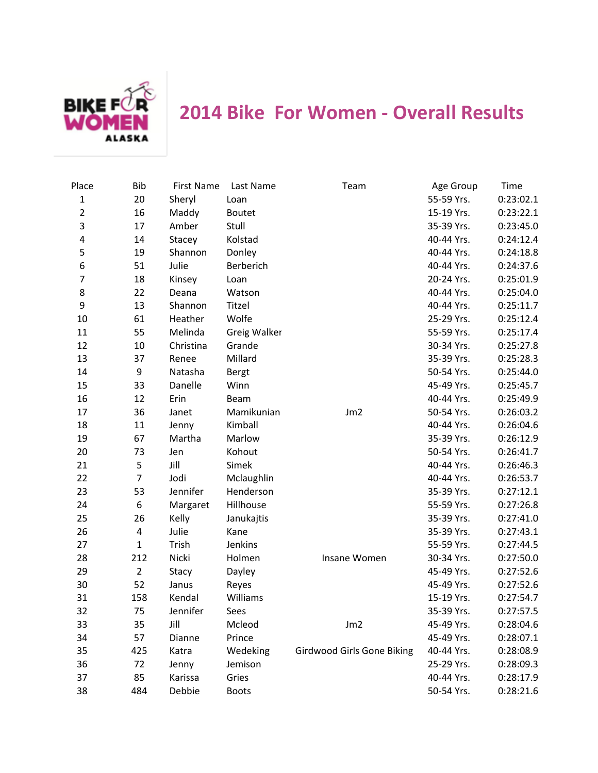

## **2014 Bike For Women - Overall Results**

| Place          | <b>Bib</b>     | <b>First Name</b> | Last Name    | Team                       | Age Group  | <b>Time</b> |
|----------------|----------------|-------------------|--------------|----------------------------|------------|-------------|
| $\mathbf{1}$   | 20             | Sheryl            | Loan         |                            | 55-59 Yrs. | 0:23:02.1   |
| $\overline{2}$ | 16             | Maddy             | Boutet       |                            | 15-19 Yrs. | 0:23:22.1   |
| 3              | 17             | Amber             | Stull        |                            | 35-39 Yrs. | 0:23:45.0   |
| 4              | 14             | Stacey            | Kolstad      |                            | 40-44 Yrs. | 0:24:12.4   |
| 5              | 19             | Shannon           | Donley       |                            | 40-44 Yrs. | 0:24:18.8   |
| 6              | 51             | Julie             | Berberich    |                            | 40-44 Yrs. | 0:24:37.6   |
| $\overline{7}$ | 18             | Kinsey            | Loan         |                            | 20-24 Yrs. | 0:25:01.9   |
| 8              | 22             | Deana             | Watson       |                            | 40-44 Yrs. | 0:25:04.0   |
| 9              | 13             | Shannon           | Titzel       |                            | 40-44 Yrs. | 0:25:11.7   |
| 10             | 61             | Heather           | Wolfe        |                            | 25-29 Yrs. | 0:25:12.4   |
| 11             | 55             | Melinda           | Greig Walker |                            | 55-59 Yrs. | 0:25:17.4   |
| 12             | 10             | Christina         | Grande       |                            | 30-34 Yrs. | 0:25:27.8   |
| 13             | 37             | Renee             | Millard      |                            | 35-39 Yrs. | 0:25:28.3   |
| 14             | 9              | Natasha           | Bergt        |                            | 50-54 Yrs. | 0:25:44.0   |
| 15             | 33             | Danelle           | Winn         |                            | 45-49 Yrs. | 0:25:45.7   |
| 16             | 12             | Erin              | Beam         |                            | 40-44 Yrs. | 0:25:49.9   |
| 17             | 36             | Janet             | Mamikunian   | Jm <sub>2</sub>            | 50-54 Yrs. | 0:26:03.2   |
| 18             | 11             | Jenny             | Kimball      |                            | 40-44 Yrs. | 0:26:04.6   |
| 19             | 67             | Martha            | Marlow       |                            | 35-39 Yrs. | 0:26:12.9   |
| 20             | 73             | Jen               | Kohout       |                            | 50-54 Yrs. | 0:26:41.7   |
| 21             | 5              | Jill              | Simek        |                            | 40-44 Yrs. | 0:26:46.3   |
| 22             | $\overline{7}$ | Jodi              | Mclaughlin   |                            | 40-44 Yrs. | 0:26:53.7   |
| 23             | 53             | Jennifer          | Henderson    |                            | 35-39 Yrs. | 0:27:12.1   |
| 24             | 6              | Margaret          | Hillhouse    |                            | 55-59 Yrs. | 0:27:26.8   |
| 25             | 26             | Kelly             | Janukajtis   |                            | 35-39 Yrs. | 0:27:41.0   |
| 26             | 4              | Julie             | Kane         |                            | 35-39 Yrs. | 0:27:43.1   |
| 27             | $\mathbf{1}$   | Trish             | Jenkins      |                            | 55-59 Yrs. | 0:27:44.5   |
| 28             | 212            | Nicki             | Holmen       | Insane Women               | 30-34 Yrs. | 0:27:50.0   |
| 29             | $\overline{2}$ | Stacy             | Dayley       |                            | 45-49 Yrs. | 0:27:52.6   |
| 30             | 52             | Janus             | Reyes        |                            | 45-49 Yrs. | 0:27:52.6   |
| 31             | 158            | Kendal            | Williams     |                            | 15-19 Yrs. | 0:27:54.7   |
| 32             | 75             | Jennifer          | Sees         |                            | 35-39 Yrs. | 0:27:57.5   |
| 33             | 35             | Jill              | Mcleod       | Jm2                        | 45-49 Yrs. | 0:28:04.6   |
| 34             | 57             | Dianne            | Prince       |                            | 45-49 Yrs. | 0:28:07.1   |
| 35             | 425            | Katra             | Wedeking     | Girdwood Girls Gone Biking | 40-44 Yrs. | 0:28:08.9   |
| 36             | 72             | Jenny             | Jemison      |                            | 25-29 Yrs. | 0:28:09.3   |
| 37             | 85             | Karissa           | Gries        |                            | 40-44 Yrs. | 0:28:17.9   |
| 38             | 484            | Debbie            | <b>Boots</b> |                            | 50-54 Yrs. | 0:28:21.6   |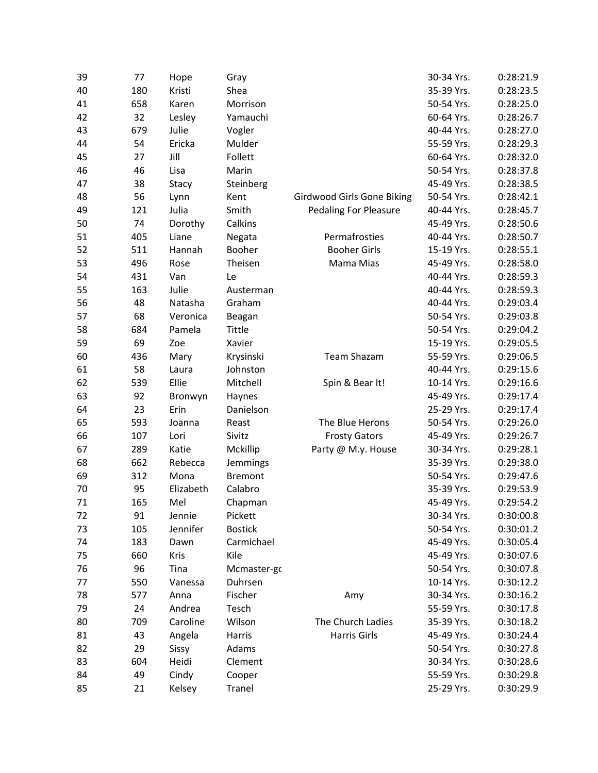| 39 | 77  | Hope      | Gray           |                              | 30-34 Yrs. | 0:28:21.9 |
|----|-----|-----------|----------------|------------------------------|------------|-----------|
| 40 | 180 | Kristi    | Shea           |                              | 35-39 Yrs. | 0:28:23.5 |
| 41 | 658 | Karen     | Morrison       |                              | 50-54 Yrs. | 0:28:25.0 |
| 42 | 32  | Lesley    | Yamauchi       |                              | 60-64 Yrs. | 0:28:26.7 |
| 43 | 679 | Julie     | Vogler         |                              | 40-44 Yrs. | 0:28:27.0 |
| 44 | 54  | Ericka    | Mulder         |                              | 55-59 Yrs. | 0:28:29.3 |
| 45 | 27  | Jill      | Follett        |                              | 60-64 Yrs. | 0:28:32.0 |
| 46 | 46  | Lisa      | Marin          |                              | 50-54 Yrs. | 0:28:37.8 |
| 47 | 38  | Stacy     | Steinberg      |                              | 45-49 Yrs. | 0:28:38.5 |
| 48 | 56  | Lynn      | Kent           | Girdwood Girls Gone Biking   | 50-54 Yrs. | 0:28:42.1 |
| 49 | 121 | Julia     | Smith          | <b>Pedaling For Pleasure</b> | 40-44 Yrs. | 0:28:45.7 |
| 50 | 74  | Dorothy   | Calkins        |                              | 45-49 Yrs. | 0:28:50.6 |
| 51 | 405 | Liane     | Negata         | Permafrosties                | 40-44 Yrs. | 0:28:50.7 |
| 52 | 511 | Hannah    | Booher         | <b>Booher Girls</b>          | 15-19 Yrs. | 0:28:55.1 |
| 53 | 496 | Rose      | Theisen        | Mama Mias                    | 45-49 Yrs. | 0:28:58.0 |
| 54 | 431 | Van       | Le             |                              | 40-44 Yrs. | 0:28:59.3 |
| 55 | 163 | Julie     | Austerman      |                              | 40-44 Yrs. | 0:28:59.3 |
| 56 | 48  | Natasha   | Graham         |                              | 40-44 Yrs. | 0:29:03.4 |
| 57 | 68  | Veronica  | Beagan         |                              | 50-54 Yrs. | 0:29:03.8 |
| 58 | 684 | Pamela    | Tittle         |                              | 50-54 Yrs. | 0:29:04.2 |
| 59 | 69  | Zoe       | Xavier         |                              | 15-19 Yrs. | 0:29:05.5 |
| 60 | 436 | Mary      | Krysinski      | Team Shazam                  | 55-59 Yrs. | 0:29:06.5 |
| 61 | 58  | Laura     | Johnston       |                              | 40-44 Yrs. | 0:29:15.6 |
| 62 | 539 | Ellie     | Mitchell       | Spin & Bear It!              | 10-14 Yrs. | 0:29:16.6 |
| 63 | 92  | Bronwyn   | Haynes         |                              | 45-49 Yrs. | 0:29:17.4 |
| 64 | 23  | Erin      | Danielson      |                              | 25-29 Yrs. | 0:29:17.4 |
| 65 | 593 | Joanna    | Reast          | The Blue Herons              | 50-54 Yrs. | 0:29:26.0 |
| 66 | 107 | Lori      | Sivitz         | <b>Frosty Gators</b>         | 45-49 Yrs. | 0:29:26.7 |
| 67 | 289 | Katie     | Mckillip       | Party @ M.y. House           | 30-34 Yrs. | 0:29:28.1 |
| 68 | 662 | Rebecca   | Jemmings       |                              | 35-39 Yrs. | 0:29:38.0 |
| 69 | 312 | Mona      | <b>Bremont</b> |                              | 50-54 Yrs. | 0:29:47.6 |
| 70 | 95  | Elizabeth | Calabro        |                              | 35-39 Yrs. | 0:29:53.9 |
| 71 | 165 | Mel       | Chapman        |                              | 45-49 Yrs. | 0:29:54.2 |
| 72 | 91  | Jennie    | Pickett        |                              | 30-34 Yrs. | 0:30:00.8 |
| 73 | 105 | Jennifer  | <b>Bostick</b> |                              | 50-54 Yrs. | 0:30:01.2 |
| 74 | 183 | Dawn      | Carmichael     |                              | 45-49 Yrs. | 0:30:05.4 |
| 75 | 660 | Kris      | Kile           |                              | 45-49 Yrs. | 0:30:07.6 |
| 76 | 96  | Tina      | Mcmaster-gc    |                              | 50-54 Yrs. | 0:30:07.8 |
| 77 | 550 | Vanessa   | Duhrsen        |                              | 10-14 Yrs. | 0:30:12.2 |
| 78 | 577 | Anna      | Fischer        | Amy                          | 30-34 Yrs. | 0:30:16.2 |
| 79 | 24  | Andrea    | Tesch          |                              | 55-59 Yrs. | 0:30:17.8 |
| 80 | 709 | Caroline  | Wilson         | The Church Ladies            | 35-39 Yrs. | 0:30:18.2 |
| 81 | 43  | Angela    | Harris         | Harris Girls                 | 45-49 Yrs. | 0:30:24.4 |
| 82 | 29  | Sissy     | Adams          |                              | 50-54 Yrs. | 0:30:27.8 |
| 83 | 604 | Heidi     | Clement        |                              | 30-34 Yrs. | 0:30:28.6 |
| 84 | 49  | Cindy     | Cooper         |                              | 55-59 Yrs. | 0:30:29.8 |
| 85 | 21  | Kelsey    | Tranel         |                              | 25-29 Yrs. | 0:30:29.9 |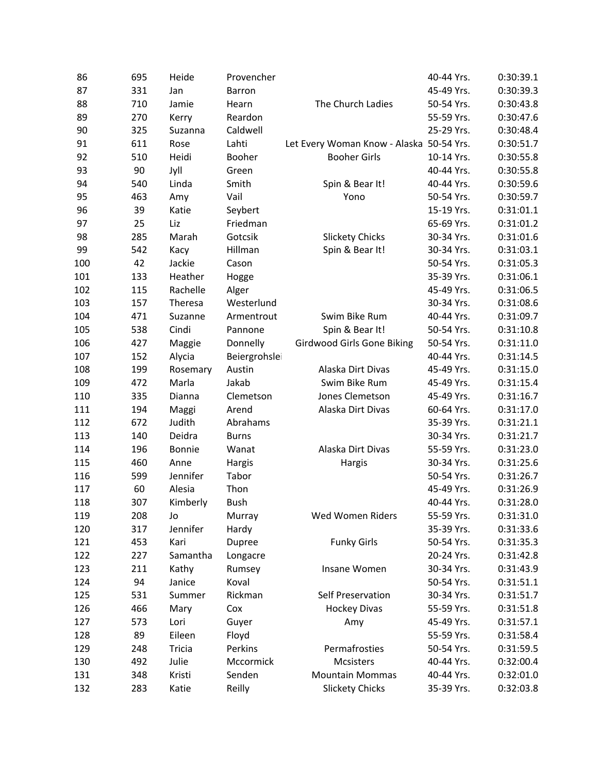| 86  | 695 | Heide    | Provencher    |                                          | 40-44 Yrs. | 0:30:39.1 |
|-----|-----|----------|---------------|------------------------------------------|------------|-----------|
| 87  | 331 | Jan      | Barron        |                                          | 45-49 Yrs. | 0:30:39.3 |
| 88  | 710 | Jamie    | Hearn         | The Church Ladies                        | 50-54 Yrs. | 0:30:43.8 |
| 89  | 270 | Kerry    | Reardon       |                                          | 55-59 Yrs. | 0:30:47.6 |
| 90  | 325 | Suzanna  | Caldwell      |                                          | 25-29 Yrs. | 0:30:48.4 |
| 91  | 611 | Rose     | Lahti         | Let Every Woman Know - Alaska 50-54 Yrs. |            | 0:30:51.7 |
| 92  | 510 | Heidi    | Booher        | <b>Booher Girls</b>                      | 10-14 Yrs. | 0:30:55.8 |
| 93  | 90  | Jyll     | Green         |                                          | 40-44 Yrs. | 0:30:55.8 |
| 94  | 540 | Linda    | Smith         | Spin & Bear It!                          | 40-44 Yrs. | 0:30:59.6 |
| 95  | 463 | Amy      | Vail          | Yono                                     | 50-54 Yrs. | 0:30:59.7 |
| 96  | 39  | Katie    | Seybert       |                                          | 15-19 Yrs. | 0:31:01.1 |
| 97  | 25  | Liz      | Friedman      |                                          | 65-69 Yrs. | 0:31:01.2 |
| 98  | 285 | Marah    | Gotcsik       | <b>Slickety Chicks</b>                   | 30-34 Yrs. | 0:31:01.6 |
| 99  | 542 | Kacy     | Hillman       | Spin & Bear It!                          | 30-34 Yrs. | 0:31:03.1 |
| 100 | 42  | Jackie   | Cason         |                                          | 50-54 Yrs. | 0:31:05.3 |
| 101 | 133 | Heather  | Hogge         |                                          | 35-39 Yrs. | 0:31:06.1 |
| 102 | 115 | Rachelle | Alger         |                                          | 45-49 Yrs. | 0:31:06.5 |
| 103 | 157 | Theresa  | Westerlund    |                                          | 30-34 Yrs. | 0:31:08.6 |
| 104 | 471 | Suzanne  | Armentrout    | Swim Bike Rum                            | 40-44 Yrs. | 0:31:09.7 |
| 105 | 538 | Cindi    | Pannone       | Spin & Bear It!                          | 50-54 Yrs. | 0:31:10.8 |
| 106 | 427 | Maggie   | Donnelly      | <b>Girdwood Girls Gone Biking</b>        | 50-54 Yrs. | 0:31:11.0 |
| 107 | 152 | Alycia   | Beiergrohslei |                                          | 40-44 Yrs. | 0:31:14.5 |
| 108 | 199 | Rosemary | Austin        | Alaska Dirt Divas                        | 45-49 Yrs. | 0:31:15.0 |
| 109 | 472 | Marla    | Jakab         | Swim Bike Rum                            | 45-49 Yrs. | 0:31:15.4 |
| 110 | 335 | Dianna   | Clemetson     | Jones Clemetson                          | 45-49 Yrs. | 0:31:16.7 |
| 111 | 194 | Maggi    | Arend         | Alaska Dirt Divas                        | 60-64 Yrs. | 0:31:17.0 |
| 112 | 672 | Judith   | Abrahams      |                                          | 35-39 Yrs. | 0:31:21.1 |
| 113 | 140 | Deidra   | <b>Burns</b>  |                                          | 30-34 Yrs. | 0:31:21.7 |
| 114 | 196 | Bonnie   | Wanat         | Alaska Dirt Divas                        | 55-59 Yrs. | 0:31:23.0 |
| 115 | 460 | Anne     | Hargis        | Hargis                                   | 30-34 Yrs. | 0:31:25.6 |
| 116 | 599 | Jennifer | Tabor         |                                          | 50-54 Yrs. | 0:31:26.7 |
| 117 | 60  | Alesia   | Thon          |                                          | 45-49 Yrs. | 0:31:26.9 |
| 118 | 307 | Kimberly | Bush          |                                          | 40-44 Yrs. | 0:31:28.0 |
| 119 | 208 | Jo       | Murray        | Wed Women Riders                         | 55-59 Yrs. | 0:31:31.0 |
| 120 | 317 | Jennifer | Hardy         |                                          | 35-39 Yrs. | 0:31:33.6 |
| 121 | 453 | Kari     | Dupree        | <b>Funky Girls</b>                       | 50-54 Yrs. | 0:31:35.3 |
| 122 | 227 | Samantha | Longacre      |                                          | 20-24 Yrs. | 0:31:42.8 |
| 123 | 211 | Kathy    | Rumsey        | Insane Women                             | 30-34 Yrs. | 0:31:43.9 |
| 124 | 94  | Janice   | Koval         |                                          | 50-54 Yrs. | 0:31:51.1 |
| 125 | 531 | Summer   | Rickman       | Self Preservation                        | 30-34 Yrs. | 0:31:51.7 |
| 126 | 466 | Mary     | Cox           | <b>Hockey Divas</b>                      | 55-59 Yrs. | 0:31:51.8 |
| 127 | 573 | Lori     | Guyer         | Amy                                      | 45-49 Yrs. | 0:31:57.1 |
| 128 | 89  | Eileen   | Floyd         |                                          | 55-59 Yrs. | 0:31:58.4 |
| 129 | 248 | Tricia   | Perkins       | Permafrosties                            | 50-54 Yrs. | 0:31:59.5 |
| 130 | 492 | Julie    | Mccormick     | <b>Mcsisters</b>                         | 40-44 Yrs. | 0:32:00.4 |
| 131 | 348 | Kristi   | Senden        | <b>Mountain Mommas</b>                   | 40-44 Yrs. | 0:32:01.0 |
| 132 | 283 | Katie    | Reilly        | <b>Slickety Chicks</b>                   | 35-39 Yrs. | 0:32:03.8 |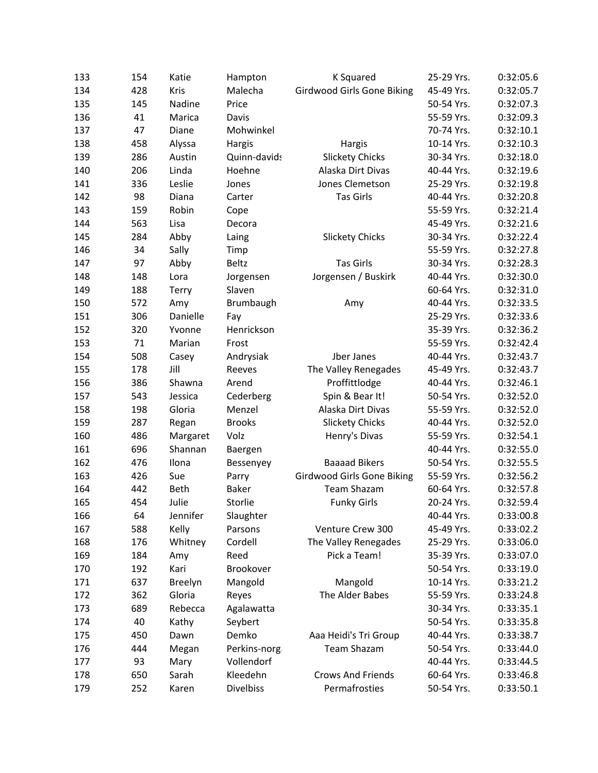| 133 | 154 | Katie       | Hampton          | K Squared                         | 25-29 Yrs. | 0:32:05.6 |
|-----|-----|-------------|------------------|-----------------------------------|------------|-----------|
| 134 | 428 | Kris        | Malecha          | <b>Girdwood Girls Gone Biking</b> | 45-49 Yrs. | 0:32:05.7 |
| 135 | 145 | Nadine      | Price            |                                   | 50-54 Yrs. | 0:32:07.3 |
| 136 | 41  | Marica      | Davis            |                                   | 55-59 Yrs. | 0:32:09.3 |
| 137 | 47  | Diane       | Mohwinkel        |                                   | 70-74 Yrs. | 0:32:10.1 |
| 138 | 458 | Alyssa      | Hargis           | Hargis                            | 10-14 Yrs. | 0:32:10.3 |
| 139 | 286 | Austin      | Quinn-davids     | <b>Slickety Chicks</b>            | 30-34 Yrs. | 0:32:18.0 |
| 140 | 206 | Linda       | Hoehne           | Alaska Dirt Divas                 | 40-44 Yrs. | 0:32:19.6 |
| 141 | 336 | Leslie      | Jones            | Jones Clemetson                   | 25-29 Yrs. | 0:32:19.8 |
| 142 | 98  | Diana       | Carter           | Tas Girls                         | 40-44 Yrs. | 0:32:20.8 |
| 143 | 159 | Robin       | Cope             |                                   | 55-59 Yrs. | 0:32:21.4 |
| 144 | 563 | Lisa        | Decora           |                                   | 45-49 Yrs. | 0:32:21.6 |
| 145 | 284 | Abby        | Laing            | <b>Slickety Chicks</b>            | 30-34 Yrs. | 0:32:22.4 |
| 146 | 34  | Sally       | Timp             |                                   | 55-59 Yrs. | 0:32:27.8 |
| 147 | 97  | Abby        | Beltz            | <b>Tas Girls</b>                  | 30-34 Yrs. | 0:32:28.3 |
| 148 | 148 | Lora        | Jorgensen        | Jorgensen / Buskirk               | 40-44 Yrs. | 0:32:30.0 |
| 149 | 188 | Terry       | Slaven           |                                   | 60-64 Yrs. | 0:32:31.0 |
| 150 | 572 | Amy         | Brumbaugh        | Amy                               | 40-44 Yrs. | 0:32:33.5 |
| 151 | 306 | Danielle    | Fay              |                                   | 25-29 Yrs. | 0:32:33.6 |
| 152 | 320 | Yvonne      | Henrickson       |                                   | 35-39 Yrs. | 0:32:36.2 |
| 153 | 71  | Marian      | Frost            |                                   | 55-59 Yrs. | 0:32:42.4 |
| 154 | 508 | Casey       | Andrysiak        | Jber Janes                        | 40-44 Yrs. | 0:32:43.7 |
| 155 | 178 | Jill        | Reeves           | The Valley Renegades              | 45-49 Yrs. | 0:32:43.7 |
| 156 | 386 | Shawna      | Arend            | Proffittlodge                     | 40-44 Yrs. | 0:32:46.1 |
| 157 | 543 | Jessica     | Cederberg        | Spin & Bear It!                   | 50-54 Yrs. | 0:32:52.0 |
| 158 | 198 | Gloria      | Menzel           | Alaska Dirt Divas                 | 55-59 Yrs. | 0:32:52.0 |
| 159 | 287 | Regan       | <b>Brooks</b>    | <b>Slickety Chicks</b>            | 40-44 Yrs. | 0:32:52.0 |
| 160 | 486 | Margaret    | Volz             | Henry's Divas                     | 55-59 Yrs. | 0:32:54.1 |
| 161 | 696 | Shannan     | Baergen          |                                   | 40-44 Yrs. | 0:32:55.0 |
| 162 | 476 | Ilona       | Bessenyey        | <b>Baaaad Bikers</b>              | 50-54 Yrs. | 0:32:55.5 |
| 163 | 426 | Sue         | Parry            | Girdwood Girls Gone Biking        | 55-59 Yrs. | 0:32:56.2 |
| 164 | 442 | <b>Beth</b> | <b>Baker</b>     | <b>Team Shazam</b>                | 60-64 Yrs. | 0:32:57.8 |
| 165 | 454 | Julie       | Storlie          | <b>Funky Girls</b>                | 20-24 Yrs. | 0:32:59.4 |
| 166 | 64  | Jennifer    | Slaughter        |                                   | 40-44 Yrs. | 0:33:00.8 |
| 167 | 588 | Kelly       | Parsons          | Venture Crew 300                  | 45-49 Yrs. | 0:33:02.2 |
| 168 | 176 | Whitney     | Cordell          | The Valley Renegades              | 25-29 Yrs. | 0:33:06.0 |
| 169 | 184 | Amy         | Reed             | Pick a Team!                      | 35-39 Yrs. | 0:33:07.0 |
| 170 | 192 | Kari        | Brookover        |                                   | 50-54 Yrs. | 0:33:19.0 |
| 171 | 637 | Breelyn     | Mangold          | Mangold                           | 10-14 Yrs. | 0:33:21.2 |
| 172 | 362 | Gloria      | Reyes            | The Alder Babes                   | 55-59 Yrs. | 0:33:24.8 |
| 173 | 689 | Rebecca     | Agalawatta       |                                   | 30-34 Yrs. | 0:33:35.1 |
| 174 | 40  | Kathy       | Seybert          |                                   | 50-54 Yrs. | 0:33:35.8 |
| 175 | 450 | Dawn        | Demko            | Aaa Heidi's Tri Group             | 40-44 Yrs. | 0:33:38.7 |
| 176 | 444 | Megan       | Perkins-norg     | <b>Team Shazam</b>                | 50-54 Yrs. | 0:33:44.0 |
| 177 | 93  | Mary        | Vollendorf       |                                   | 40-44 Yrs. | 0:33:44.5 |
| 178 | 650 | Sarah       | Kleedehn         | <b>Crows And Friends</b>          | 60-64 Yrs. | 0:33:46.8 |
| 179 | 252 | Karen       | <b>Divelbiss</b> | Permafrosties                     | 50-54 Yrs. | 0:33:50.1 |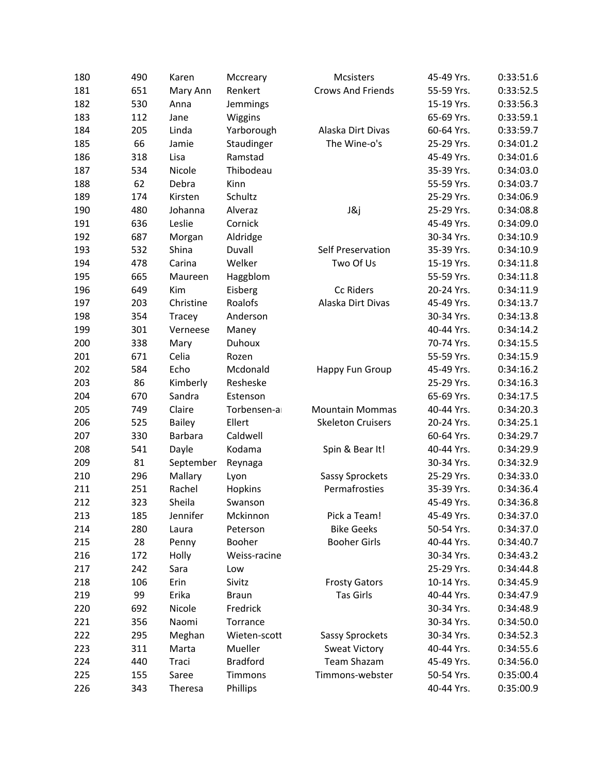| 180 | 490 | Karen         | Mccreary        | <b>Mcsisters</b>         | 45-49 Yrs. | 0:33:51.6 |
|-----|-----|---------------|-----------------|--------------------------|------------|-----------|
| 181 | 651 | Mary Ann      | Renkert         | <b>Crows And Friends</b> | 55-59 Yrs. | 0:33:52.5 |
| 182 | 530 | Anna          | Jemmings        |                          | 15-19 Yrs. | 0:33:56.3 |
| 183 | 112 | Jane          | Wiggins         |                          | 65-69 Yrs. | 0:33:59.1 |
| 184 | 205 | Linda         | Yarborough      | Alaska Dirt Divas        | 60-64 Yrs. | 0:33:59.7 |
| 185 | 66  | Jamie         | Staudinger      | The Wine-o's             | 25-29 Yrs. | 0:34:01.2 |
| 186 | 318 | Lisa          | Ramstad         |                          | 45-49 Yrs. | 0:34:01.6 |
| 187 | 534 | Nicole        | Thibodeau       |                          | 35-39 Yrs. | 0:34:03.0 |
| 188 | 62  | Debra         | Kinn            |                          | 55-59 Yrs. | 0:34:03.7 |
| 189 | 174 | Kirsten       | Schultz         |                          | 25-29 Yrs. | 0:34:06.9 |
| 190 | 480 | Johanna       | Alveraz         | J&j                      | 25-29 Yrs. | 0:34:08.8 |
| 191 | 636 | Leslie        | Cornick         |                          | 45-49 Yrs. | 0:34:09.0 |
| 192 | 687 | Morgan        | Aldridge        |                          | 30-34 Yrs. | 0:34:10.9 |
| 193 | 532 | Shina         | Duvall          | Self Preservation        | 35-39 Yrs. | 0:34:10.9 |
| 194 | 478 | Carina        | Welker          | Two Of Us                | 15-19 Yrs. | 0:34:11.8 |
| 195 | 665 | Maureen       | Haggblom        |                          | 55-59 Yrs. | 0:34:11.8 |
| 196 | 649 | Kim           | Eisberg         | Cc Riders                | 20-24 Yrs. | 0:34:11.9 |
| 197 | 203 | Christine     | Roalofs         | Alaska Dirt Divas        | 45-49 Yrs. | 0:34:13.7 |
| 198 | 354 | Tracey        | Anderson        |                          | 30-34 Yrs. | 0:34:13.8 |
| 199 | 301 | Verneese      | Maney           |                          | 40-44 Yrs. | 0:34:14.2 |
| 200 | 338 | Mary          | <b>Duhoux</b>   |                          | 70-74 Yrs. | 0:34:15.5 |
| 201 | 671 | Celia         | Rozen           |                          | 55-59 Yrs. | 0:34:15.9 |
| 202 | 584 | Echo          | Mcdonald        | Happy Fun Group          | 45-49 Yrs. | 0:34:16.2 |
| 203 | 86  | Kimberly      | Resheske        |                          | 25-29 Yrs. | 0:34:16.3 |
| 204 | 670 | Sandra        | Estenson        |                          | 65-69 Yrs. | 0:34:17.5 |
| 205 | 749 | Claire        | Torbensen-a     | <b>Mountain Mommas</b>   | 40-44 Yrs. | 0:34:20.3 |
| 206 | 525 | <b>Bailey</b> | Ellert          | <b>Skeleton Cruisers</b> | 20-24 Yrs. | 0:34:25.1 |
| 207 | 330 | Barbara       | Caldwell        |                          | 60-64 Yrs. | 0:34:29.7 |
| 208 | 541 | Dayle         | Kodama          | Spin & Bear It!          | 40-44 Yrs. | 0:34:29.9 |
| 209 | 81  | September     | Reynaga         |                          | 30-34 Yrs. | 0:34:32.9 |
| 210 | 296 | Mallary       | Lyon            | Sassy Sprockets          | 25-29 Yrs. | 0:34:33.0 |
| 211 | 251 | Rachel        | Hopkins         | Permafrosties            | 35-39 Yrs. | 0:34:36.4 |
| 212 | 323 | Sheila        | Swanson         |                          | 45-49 Yrs. | 0:34:36.8 |
| 213 | 185 | Jennifer      | Mckinnon        | Pick a Team!             | 45-49 Yrs. | 0:34:37.0 |
| 214 | 280 | Laura         | Peterson        | <b>Bike Geeks</b>        | 50-54 Yrs. | 0:34:37.0 |
| 215 | 28  | Penny         | Booher          | <b>Booher Girls</b>      | 40-44 Yrs. | 0:34:40.7 |
| 216 | 172 | Holly         | Weiss-racine    |                          | 30-34 Yrs. | 0:34:43.2 |
| 217 | 242 | Sara          | Low             |                          | 25-29 Yrs. | 0:34:44.8 |
| 218 | 106 | Erin          | Sivitz          | <b>Frosty Gators</b>     | 10-14 Yrs. | 0:34:45.9 |
| 219 | 99  | Erika         | <b>Braun</b>    | Tas Girls                | 40-44 Yrs. | 0:34:47.9 |
| 220 | 692 | Nicole        | Fredrick        |                          | 30-34 Yrs. | 0:34:48.9 |
| 221 | 356 | Naomi         | Torrance        |                          | 30-34 Yrs. | 0:34:50.0 |
| 222 | 295 | Meghan        | Wieten-scott    | Sassy Sprockets          | 30-34 Yrs. | 0:34:52.3 |
| 223 | 311 | Marta         | Mueller         | <b>Sweat Victory</b>     | 40-44 Yrs. | 0:34:55.6 |
| 224 | 440 | Traci         | <b>Bradford</b> | Team Shazam              | 45-49 Yrs. | 0:34:56.0 |
| 225 | 155 | Saree         | Timmons         | Timmons-webster          | 50-54 Yrs. | 0:35:00.4 |
| 226 | 343 | Theresa       | Phillips        |                          | 40-44 Yrs. | 0:35:00.9 |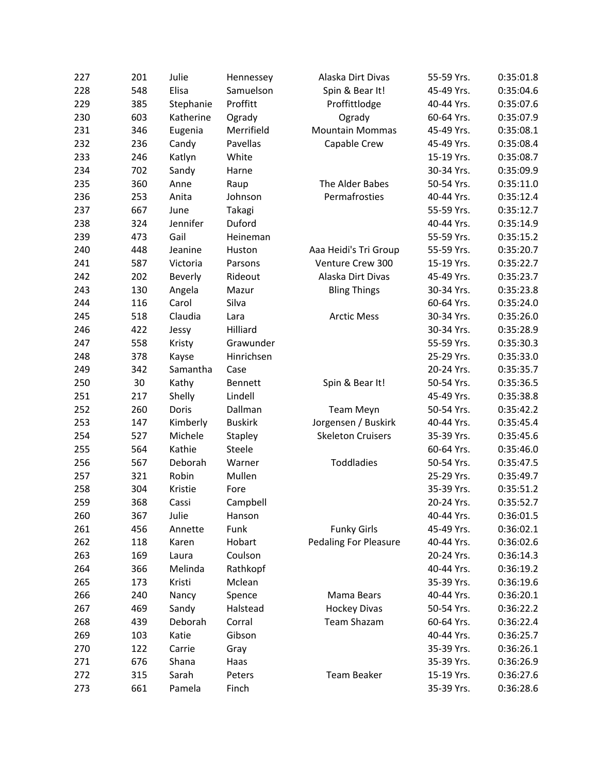| 227 | 201 | Julie     | Hennessey      | Alaska Dirt Divas            | 55-59 Yrs. | 0:35:01.8 |
|-----|-----|-----------|----------------|------------------------------|------------|-----------|
| 228 | 548 | Elisa     | Samuelson      | Spin & Bear It!              | 45-49 Yrs. | 0:35:04.6 |
| 229 | 385 | Stephanie | Proffitt       | Proffittlodge                | 40-44 Yrs. | 0:35:07.6 |
| 230 | 603 | Katherine | Ogrady         | Ogrady                       | 60-64 Yrs. | 0:35:07.9 |
| 231 | 346 | Eugenia   | Merrifield     | <b>Mountain Mommas</b>       | 45-49 Yrs. | 0:35:08.1 |
| 232 | 236 | Candy     | Pavellas       | Capable Crew                 | 45-49 Yrs. | 0:35:08.4 |
| 233 | 246 | Katlyn    | White          |                              | 15-19 Yrs. | 0:35:08.7 |
| 234 | 702 | Sandy     | Harne          |                              | 30-34 Yrs. | 0:35:09.9 |
| 235 | 360 | Anne      | Raup           | The Alder Babes              | 50-54 Yrs. | 0:35:11.0 |
| 236 | 253 | Anita     | Johnson        | Permafrosties                | 40-44 Yrs. | 0:35:12.4 |
| 237 | 667 | June      | Takagi         |                              | 55-59 Yrs. | 0:35:12.7 |
| 238 | 324 | Jennifer  | Duford         |                              | 40-44 Yrs. | 0:35:14.9 |
| 239 | 473 | Gail      | Heineman       |                              | 55-59 Yrs. | 0:35:15.2 |
| 240 | 448 | Jeanine   | Huston         | Aaa Heidi's Tri Group        | 55-59 Yrs. | 0:35:20.7 |
| 241 | 587 | Victoria  | Parsons        | Venture Crew 300             | 15-19 Yrs. | 0:35:22.7 |
| 242 | 202 | Beverly   | Rideout        | Alaska Dirt Divas            | 45-49 Yrs. | 0:35:23.7 |
| 243 | 130 | Angela    | Mazur          | <b>Bling Things</b>          | 30-34 Yrs. | 0:35:23.8 |
| 244 | 116 | Carol     | Silva          |                              | 60-64 Yrs. | 0:35:24.0 |
| 245 | 518 | Claudia   | Lara           | <b>Arctic Mess</b>           | 30-34 Yrs. | 0:35:26.0 |
| 246 | 422 | Jessy     | Hilliard       |                              | 30-34 Yrs. | 0:35:28.9 |
| 247 | 558 | Kristy    | Grawunder      |                              | 55-59 Yrs. | 0:35:30.3 |
| 248 | 378 | Kayse     | Hinrichsen     |                              | 25-29 Yrs. | 0:35:33.0 |
| 249 | 342 | Samantha  | Case           |                              | 20-24 Yrs. | 0:35:35.7 |
| 250 | 30  | Kathy     | Bennett        | Spin & Bear It!              | 50-54 Yrs. | 0:35:36.5 |
| 251 | 217 | Shelly    | Lindell        |                              | 45-49 Yrs. | 0:35:38.8 |
| 252 | 260 | Doris     | Dallman        | <b>Team Meyn</b>             | 50-54 Yrs. | 0:35:42.2 |
| 253 | 147 | Kimberly  | <b>Buskirk</b> | Jorgensen / Buskirk          | 40-44 Yrs. | 0:35:45.4 |
| 254 | 527 | Michele   | Stapley        | <b>Skeleton Cruisers</b>     | 35-39 Yrs. | 0:35:45.6 |
| 255 | 564 | Kathie    | Steele         |                              | 60-64 Yrs. | 0:35:46.0 |
| 256 | 567 | Deborah   | Warner         | Toddladies                   | 50-54 Yrs. | 0:35:47.5 |
| 257 | 321 | Robin     | Mullen         |                              | 25-29 Yrs. | 0:35:49.7 |
| 258 | 304 | Kristie   | Fore           |                              | 35-39 Yrs. | 0:35:51.2 |
| 259 | 368 | Cassi     | Campbell       |                              | 20-24 Yrs. | 0:35:52.7 |
| 260 | 367 | Julie     | Hanson         |                              | 40-44 Yrs. | 0:36:01.5 |
| 261 | 456 | Annette   | Funk           | <b>Funky Girls</b>           | 45-49 Yrs. | 0:36:02.1 |
| 262 | 118 | Karen     | Hobart         | <b>Pedaling For Pleasure</b> | 40-44 Yrs. | 0:36:02.6 |
| 263 | 169 | Laura     | Coulson        |                              | 20-24 Yrs. | 0:36:14.3 |
| 264 | 366 | Melinda   | Rathkopf       |                              | 40-44 Yrs. | 0:36:19.2 |
| 265 | 173 | Kristi    | Mclean         |                              | 35-39 Yrs. | 0:36:19.6 |
| 266 | 240 | Nancy     | Spence         | Mama Bears                   | 40-44 Yrs. | 0:36:20.1 |
| 267 | 469 | Sandy     | Halstead       | <b>Hockey Divas</b>          | 50-54 Yrs. | 0:36:22.2 |
| 268 | 439 | Deborah   | Corral         | <b>Team Shazam</b>           | 60-64 Yrs. | 0:36:22.4 |
| 269 | 103 | Katie     | Gibson         |                              | 40-44 Yrs. | 0:36:25.7 |
| 270 | 122 | Carrie    | Gray           |                              | 35-39 Yrs. | 0:36:26.1 |
| 271 | 676 | Shana     | Haas           |                              | 35-39 Yrs. | 0:36:26.9 |
| 272 | 315 | Sarah     | Peters         | Team Beaker                  | 15-19 Yrs. | 0:36:27.6 |
| 273 | 661 | Pamela    | Finch          |                              | 35-39 Yrs. | 0:36:28.6 |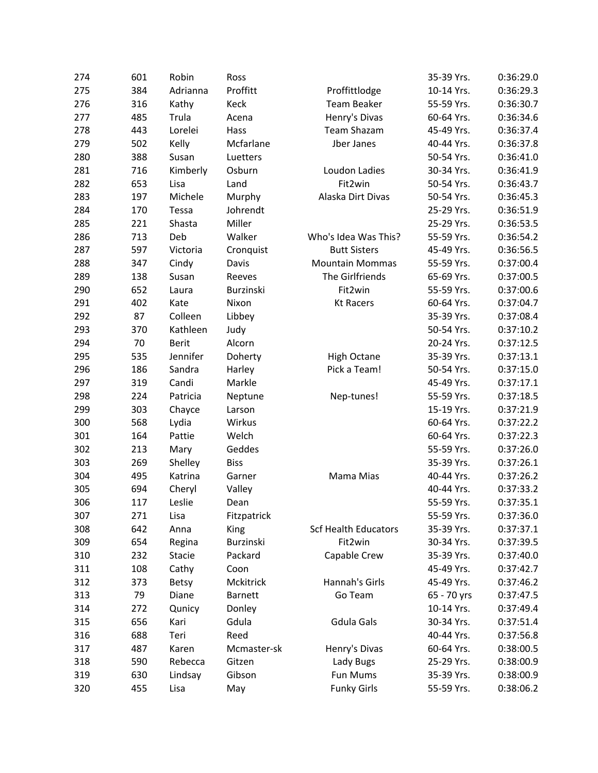| 274 | 601 | Robin        | Ross           |                             | 35-39 Yrs.  | 0:36:29.0 |
|-----|-----|--------------|----------------|-----------------------------|-------------|-----------|
| 275 | 384 | Adrianna     | Proffitt       | Proffittlodge               | 10-14 Yrs.  | 0:36:29.3 |
| 276 | 316 | Kathy        | Keck           | <b>Team Beaker</b>          | 55-59 Yrs.  | 0:36:30.7 |
| 277 | 485 | Trula        | Acena          | Henry's Divas               | 60-64 Yrs.  | 0:36:34.6 |
| 278 | 443 | Lorelei      | Hass           | <b>Team Shazam</b>          | 45-49 Yrs.  | 0:36:37.4 |
| 279 | 502 | Kelly        | Mcfarlane      | Jber Janes                  | 40-44 Yrs.  | 0:36:37.8 |
| 280 | 388 | Susan        | Luetters       |                             | 50-54 Yrs.  | 0:36:41.0 |
| 281 | 716 | Kimberly     | Osburn         | Loudon Ladies               | 30-34 Yrs.  | 0:36:41.9 |
| 282 | 653 | Lisa         | Land           | Fit2win                     | 50-54 Yrs.  | 0:36:43.7 |
| 283 | 197 | Michele      | Murphy         | Alaska Dirt Divas           | 50-54 Yrs.  | 0:36:45.3 |
| 284 | 170 | Tessa        | Johrendt       |                             | 25-29 Yrs.  | 0:36:51.9 |
| 285 | 221 | Shasta       | Miller         |                             | 25-29 Yrs.  | 0:36:53.5 |
| 286 | 713 | Deb          | Walker         | Who's Idea Was This?        | 55-59 Yrs.  | 0:36:54.2 |
| 287 | 597 | Victoria     | Cronquist      | <b>Butt Sisters</b>         | 45-49 Yrs.  | 0:36:56.5 |
| 288 | 347 | Cindy        | Davis          | <b>Mountain Mommas</b>      | 55-59 Yrs.  | 0:37:00.4 |
| 289 | 138 | Susan        | Reeves         | The Girlfriends             | 65-69 Yrs.  | 0:37:00.5 |
| 290 | 652 | Laura        | Burzinski      | Fit2win                     | 55-59 Yrs.  | 0:37:00.6 |
| 291 | 402 | Kate         | Nixon          | <b>Kt Racers</b>            | 60-64 Yrs.  | 0:37:04.7 |
| 292 | 87  | Colleen      | Libbey         |                             | 35-39 Yrs.  | 0:37:08.4 |
| 293 | 370 | Kathleen     | Judy           |                             | 50-54 Yrs.  | 0:37:10.2 |
| 294 | 70  | <b>Berit</b> | Alcorn         |                             | 20-24 Yrs.  | 0:37:12.5 |
| 295 | 535 | Jennifer     | Doherty        | <b>High Octane</b>          | 35-39 Yrs.  | 0:37:13.1 |
| 296 | 186 | Sandra       | Harley         | Pick a Team!                | 50-54 Yrs.  | 0:37:15.0 |
| 297 | 319 | Candi        | Markle         |                             | 45-49 Yrs.  | 0:37:17.1 |
| 298 | 224 | Patricia     | Neptune        | Nep-tunes!                  | 55-59 Yrs.  | 0:37:18.5 |
| 299 | 303 | Chayce       | Larson         |                             | 15-19 Yrs.  | 0:37:21.9 |
| 300 | 568 | Lydia        | Wirkus         |                             | 60-64 Yrs.  | 0:37:22.2 |
| 301 | 164 | Pattie       | Welch          |                             | 60-64 Yrs.  | 0:37:22.3 |
| 302 | 213 | Mary         | Geddes         |                             | 55-59 Yrs.  | 0:37:26.0 |
| 303 | 269 | Shelley      | <b>Biss</b>    |                             | 35-39 Yrs.  | 0:37:26.1 |
| 304 | 495 | Katrina      | Garner         | Mama Mias                   | 40-44 Yrs.  | 0:37:26.2 |
| 305 | 694 | Cheryl       | Valley         |                             | 40-44 Yrs.  | 0:37:33.2 |
| 306 | 117 | Leslie       | Dean           |                             | 55-59 Yrs.  | 0:37:35.1 |
| 307 | 271 | Lisa         | Fitzpatrick    |                             | 55-59 Yrs.  | 0:37:36.0 |
| 308 | 642 | Anna         | King           | <b>Scf Health Educators</b> | 35-39 Yrs.  | 0:37:37.1 |
| 309 | 654 | Regina       | Burzinski      | Fit2win                     | 30-34 Yrs.  | 0:37:39.5 |
| 310 | 232 | Stacie       | Packard        | Capable Crew                | 35-39 Yrs.  | 0:37:40.0 |
| 311 | 108 | Cathy        | Coon           |                             | 45-49 Yrs.  | 0:37:42.7 |
| 312 | 373 | <b>Betsy</b> | Mckitrick      | Hannah's Girls              | 45-49 Yrs.  | 0:37:46.2 |
| 313 | 79  | Diane        | <b>Barnett</b> | Go Team                     | 65 - 70 yrs | 0:37:47.5 |
| 314 | 272 | Qunicy       | Donley         |                             | 10-14 Yrs.  | 0:37:49.4 |
| 315 | 656 | Kari         | Gdula          | Gdula Gals                  | 30-34 Yrs.  | 0:37:51.4 |
| 316 | 688 | Teri         | Reed           |                             | 40-44 Yrs.  | 0:37:56.8 |
| 317 | 487 | Karen        | Mcmaster-sk    | Henry's Divas               | 60-64 Yrs.  | 0:38:00.5 |
| 318 | 590 | Rebecca      | Gitzen         | Lady Bugs                   | 25-29 Yrs.  | 0:38:00.9 |
| 319 | 630 | Lindsay      | Gibson         | Fun Mums                    | 35-39 Yrs.  | 0:38:00.9 |
| 320 | 455 | Lisa         | May            | <b>Funky Girls</b>          | 55-59 Yrs.  | 0:38:06.2 |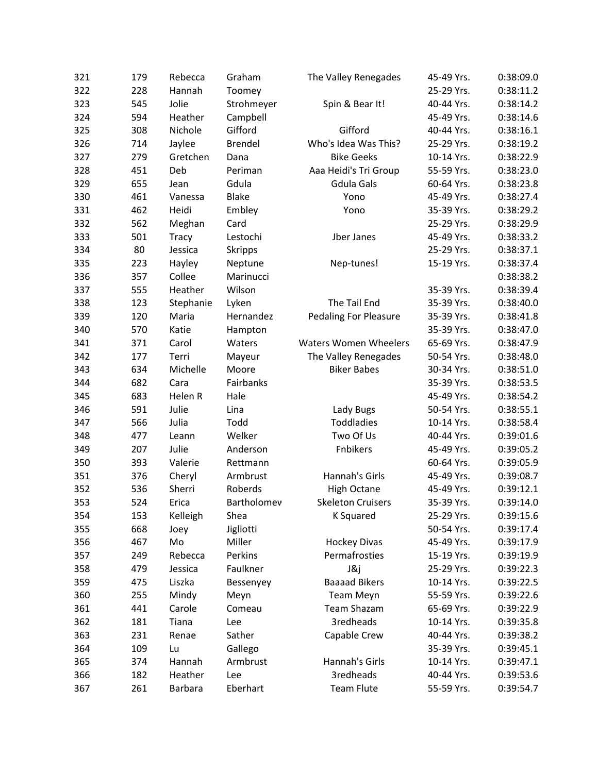| 321 | 179 | Rebecca      | Graham         | The Valley Renegades         | 45-49 Yrs. | 0:38:09.0 |
|-----|-----|--------------|----------------|------------------------------|------------|-----------|
| 322 | 228 | Hannah       | Toomey         |                              | 25-29 Yrs. | 0:38:11.2 |
| 323 | 545 | Jolie        | Strohmeyer     | Spin & Bear It!              | 40-44 Yrs. | 0:38:14.2 |
| 324 | 594 | Heather      | Campbell       |                              | 45-49 Yrs. | 0:38:14.6 |
| 325 | 308 | Nichole      | Gifford        | Gifford                      | 40-44 Yrs. | 0:38:16.1 |
| 326 | 714 | Jaylee       | <b>Brendel</b> | Who's Idea Was This?         | 25-29 Yrs. | 0:38:19.2 |
| 327 | 279 | Gretchen     | Dana           | <b>Bike Geeks</b>            | 10-14 Yrs. | 0:38:22.9 |
| 328 | 451 | Deb          | Periman        | Aaa Heidi's Tri Group        | 55-59 Yrs. | 0:38:23.0 |
| 329 | 655 | Jean         | Gdula          | <b>Gdula Gals</b>            | 60-64 Yrs. | 0:38:23.8 |
| 330 | 461 | Vanessa      | <b>Blake</b>   | Yono                         | 45-49 Yrs. | 0:38:27.4 |
| 331 | 462 | Heidi        | Embley         | Yono                         | 35-39 Yrs. | 0:38:29.2 |
| 332 | 562 | Meghan       | Card           |                              | 25-29 Yrs. | 0:38:29.9 |
| 333 | 501 | <b>Tracy</b> | Lestochi       | Jber Janes                   | 45-49 Yrs. | 0:38:33.2 |
| 334 | 80  | Jessica      | <b>Skripps</b> |                              | 25-29 Yrs. | 0:38:37.1 |
| 335 | 223 | Hayley       | Neptune        | Nep-tunes!                   | 15-19 Yrs. | 0:38:37.4 |
| 336 | 357 | Collee       | Marinucci      |                              |            | 0:38:38.2 |
| 337 | 555 | Heather      | Wilson         |                              | 35-39 Yrs. | 0:38:39.4 |
| 338 | 123 | Stephanie    | Lyken          | The Tail End                 | 35-39 Yrs. | 0:38:40.0 |
| 339 | 120 | Maria        | Hernandez      | <b>Pedaling For Pleasure</b> | 35-39 Yrs. | 0:38:41.8 |
| 340 | 570 | Katie        | Hampton        |                              | 35-39 Yrs. | 0:38:47.0 |
| 341 | 371 | Carol        | Waters         | <b>Waters Women Wheelers</b> | 65-69 Yrs. | 0:38:47.9 |
| 342 | 177 | Terri        | Mayeur         | The Valley Renegades         | 50-54 Yrs. | 0:38:48.0 |
| 343 | 634 | Michelle     | Moore          | <b>Biker Babes</b>           | 30-34 Yrs. | 0:38:51.0 |
| 344 | 682 | Cara         | Fairbanks      |                              | 35-39 Yrs. | 0:38:53.5 |
| 345 | 683 | Helen R      | Hale           |                              | 45-49 Yrs. | 0:38:54.2 |
| 346 | 591 | Julie        | Lina           | Lady Bugs                    | 50-54 Yrs. | 0:38:55.1 |
| 347 | 566 | Julia        | Todd           | Toddladies                   | 10-14 Yrs. | 0:38:58.4 |
| 348 | 477 | Leann        | Welker         | Two Of Us                    | 40-44 Yrs. | 0:39:01.6 |
| 349 | 207 | Julie        | Anderson       | Fnbikers                     | 45-49 Yrs. | 0:39:05.2 |
| 350 | 393 | Valerie      | Rettmann       |                              | 60-64 Yrs. | 0:39:05.9 |
| 351 | 376 | Cheryl       | Armbrust       | Hannah's Girls               | 45-49 Yrs. | 0:39:08.7 |
| 352 | 536 | Sherri       | Roberds        | <b>High Octane</b>           | 45-49 Yrs. | 0:39:12.1 |
| 353 | 524 | Erica        | Bartholomev    | <b>Skeleton Cruisers</b>     | 35-39 Yrs. | 0:39:14.0 |
| 354 | 153 | Kelleigh     | Shea           | K Squared                    | 25-29 Yrs. | 0:39:15.6 |
| 355 | 668 | Joey         | Jigliotti      |                              | 50-54 Yrs. | 0:39:17.4 |
| 356 | 467 | Mo           | Miller         | <b>Hockey Divas</b>          | 45-49 Yrs. | 0:39:17.9 |
| 357 | 249 | Rebecca      | Perkins        | Permafrosties                | 15-19 Yrs. | 0:39:19.9 |
| 358 | 479 | Jessica      | Faulkner       | J&j                          | 25-29 Yrs. | 0:39:22.3 |
| 359 | 475 | Liszka       | Bessenyey      | <b>Baaaad Bikers</b>         | 10-14 Yrs. | 0:39:22.5 |
| 360 | 255 | Mindy        | Meyn           | <b>Team Meyn</b>             | 55-59 Yrs. | 0:39:22.6 |
| 361 | 441 | Carole       | Comeau         | <b>Team Shazam</b>           | 65-69 Yrs. | 0:39:22.9 |
| 362 | 181 | Tiana        | Lee            | 3redheads                    | 10-14 Yrs. | 0:39:35.8 |
| 363 | 231 | Renae        | Sather         | Capable Crew                 | 40-44 Yrs. | 0:39:38.2 |
| 364 | 109 | Lu           | Gallego        |                              | 35-39 Yrs. | 0:39:45.1 |
| 365 | 374 | Hannah       | Armbrust       | Hannah's Girls               | 10-14 Yrs. | 0:39:47.1 |
| 366 | 182 | Heather      | Lee            | <b>3redheads</b>             | 40-44 Yrs. | 0:39:53.6 |
| 367 | 261 | Barbara      | Eberhart       | <b>Team Flute</b>            | 55-59 Yrs. | 0:39:54.7 |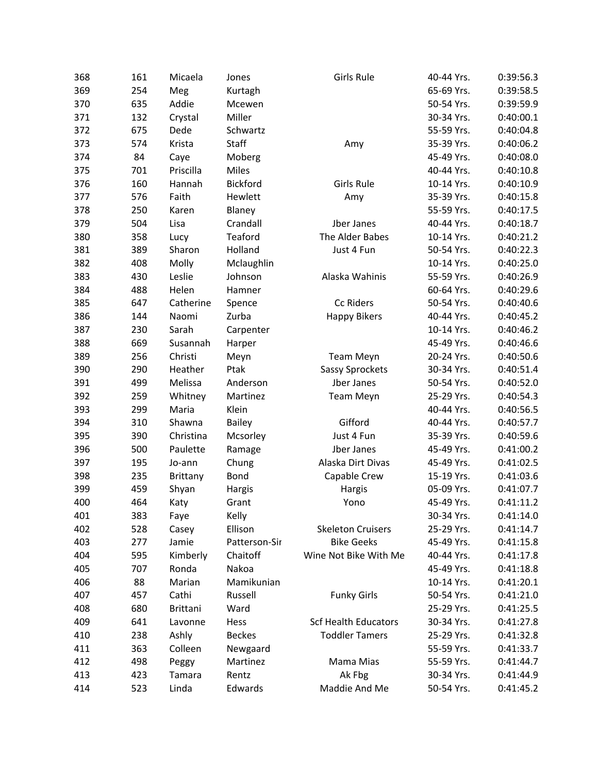| 368 | 161 | Micaela   | Jones           | Girls Rule                  | 40-44 Yrs. | 0:39:56.3 |
|-----|-----|-----------|-----------------|-----------------------------|------------|-----------|
| 369 | 254 | Meg       | Kurtagh         |                             | 65-69 Yrs. | 0:39:58.5 |
| 370 | 635 | Addie     | Mcewen          |                             | 50-54 Yrs. | 0:39:59.9 |
| 371 | 132 | Crystal   | Miller          |                             | 30-34 Yrs. | 0:40:00.1 |
| 372 | 675 | Dede      | Schwartz        |                             | 55-59 Yrs. | 0:40:04.8 |
| 373 | 574 | Krista    | Staff           | Amy                         | 35-39 Yrs. | 0:40:06.2 |
| 374 | 84  | Caye      | Moberg          |                             | 45-49 Yrs. | 0:40:08.0 |
| 375 | 701 | Priscilla | Miles           |                             | 40-44 Yrs. | 0:40:10.8 |
| 376 | 160 | Hannah    | <b>Bickford</b> | Girls Rule                  | 10-14 Yrs. | 0:40:10.9 |
| 377 | 576 | Faith     | Hewlett         | Amy                         | 35-39 Yrs. | 0:40:15.8 |
| 378 | 250 | Karen     | Blaney          |                             | 55-59 Yrs. | 0:40:17.5 |
| 379 | 504 | Lisa      | Crandall        | Jber Janes                  | 40-44 Yrs. | 0:40:18.7 |
| 380 | 358 | Lucy      | Teaford         | The Alder Babes             | 10-14 Yrs. | 0:40:21.2 |
| 381 | 389 | Sharon    | Holland         | Just 4 Fun                  | 50-54 Yrs. | 0:40:22.3 |
| 382 | 408 | Molly     | Mclaughlin      |                             | 10-14 Yrs. | 0:40:25.0 |
| 383 | 430 | Leslie    | Johnson         | Alaska Wahinis              | 55-59 Yrs. | 0:40:26.9 |
| 384 | 488 | Helen     | Hamner          |                             | 60-64 Yrs. | 0:40:29.6 |
| 385 | 647 | Catherine | Spence          | Cc Riders                   | 50-54 Yrs. | 0:40:40.6 |
| 386 | 144 | Naomi     | Zurba           | <b>Happy Bikers</b>         | 40-44 Yrs. | 0:40:45.2 |
| 387 | 230 | Sarah     | Carpenter       |                             | 10-14 Yrs. | 0:40:46.2 |
| 388 | 669 | Susannah  | Harper          |                             | 45-49 Yrs. | 0:40:46.6 |
| 389 | 256 | Christi   | Meyn            | <b>Team Meyn</b>            | 20-24 Yrs. | 0:40:50.6 |
| 390 | 290 | Heather   | Ptak            | Sassy Sprockets             | 30-34 Yrs. | 0:40:51.4 |
| 391 | 499 | Melissa   | Anderson        | Jber Janes                  | 50-54 Yrs. | 0:40:52.0 |
| 392 | 259 | Whitney   | Martinez        | <b>Team Meyn</b>            | 25-29 Yrs. | 0:40:54.3 |
| 393 | 299 | Maria     | Klein           |                             | 40-44 Yrs. | 0:40:56.5 |
| 394 | 310 | Shawna    | <b>Bailey</b>   | Gifford                     | 40-44 Yrs. | 0:40:57.7 |
| 395 | 390 | Christina | Mcsorley        | Just 4 Fun                  | 35-39 Yrs. | 0:40:59.6 |
| 396 | 500 | Paulette  | Ramage          | Jber Janes                  | 45-49 Yrs. | 0:41:00.2 |
| 397 | 195 | Jo-ann    | Chung           | Alaska Dirt Divas           | 45-49 Yrs. | 0:41:02.5 |
| 398 | 235 | Brittany  | <b>Bond</b>     | Capable Crew                | 15-19 Yrs. | 0:41:03.6 |
| 399 | 459 | Shyan     | Hargis          | Hargis                      | 05-09 Yrs. | 0:41:07.7 |
| 400 | 464 | Katy      | Grant           | Yono                        | 45-49 Yrs. | 0:41:11.2 |
| 401 | 383 | Faye      | Kelly           |                             | 30-34 Yrs. | 0:41:14.0 |
| 402 | 528 | Casey     | Ellison         | <b>Skeleton Cruisers</b>    | 25-29 Yrs. | 0:41:14.7 |
| 403 | 277 | Jamie     | Patterson-Sir   | <b>Bike Geeks</b>           | 45-49 Yrs. | 0:41:15.8 |
| 404 | 595 | Kimberly  | Chaitoff        | Wine Not Bike With Me       | 40-44 Yrs. | 0:41:17.8 |
| 405 | 707 | Ronda     | Nakoa           |                             | 45-49 Yrs. | 0:41:18.8 |
| 406 | 88  | Marian    | Mamikunian      |                             | 10-14 Yrs. | 0:41:20.1 |
| 407 | 457 | Cathi     | Russell         | <b>Funky Girls</b>          | 50-54 Yrs. | 0:41:21.0 |
| 408 | 680 | Brittani  | Ward            |                             | 25-29 Yrs. | 0:41:25.5 |
| 409 | 641 | Lavonne   | Hess            | <b>Scf Health Educators</b> | 30-34 Yrs. | 0:41:27.8 |
| 410 | 238 | Ashly     | <b>Beckes</b>   | <b>Toddler Tamers</b>       | 25-29 Yrs. | 0:41:32.8 |
| 411 | 363 | Colleen   | Newgaard        |                             | 55-59 Yrs. | 0:41:33.7 |
| 412 | 498 | Peggy     | Martinez        | Mama Mias                   | 55-59 Yrs. | 0:41:44.7 |
| 413 | 423 | Tamara    | Rentz           | Ak Fbg                      | 30-34 Yrs. | 0:41:44.9 |
| 414 | 523 | Linda     | Edwards         | Maddie And Me               | 50-54 Yrs. | 0:41:45.2 |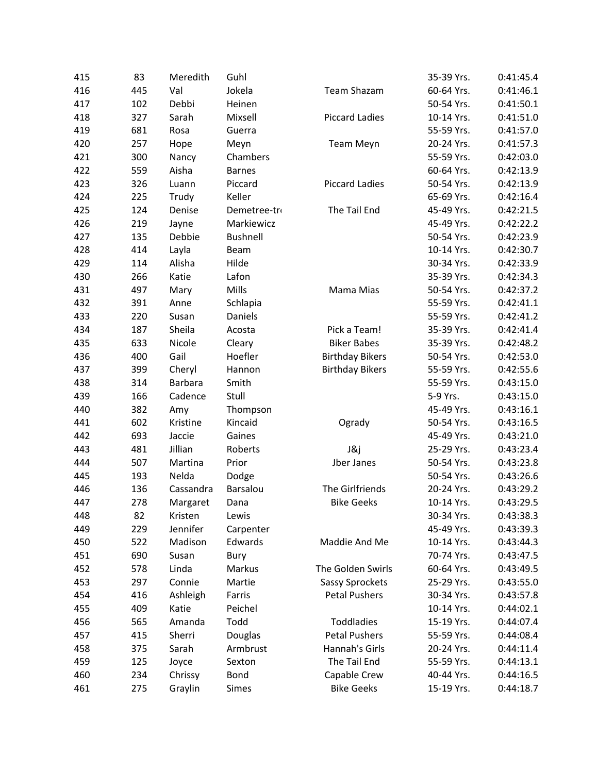| 415 | 83  | Meredith  | Guhl            |                        | 35-39 Yrs. | 0:41:45.4 |
|-----|-----|-----------|-----------------|------------------------|------------|-----------|
| 416 | 445 | Val       | Jokela          | Team Shazam            | 60-64 Yrs. | 0:41:46.1 |
| 417 | 102 | Debbi     | Heinen          |                        | 50-54 Yrs. | 0:41:50.1 |
| 418 | 327 | Sarah     | Mixsell         | <b>Piccard Ladies</b>  | 10-14 Yrs. | 0:41:51.0 |
| 419 | 681 | Rosa      | Guerra          |                        | 55-59 Yrs. | 0:41:57.0 |
| 420 | 257 | Hope      | Meyn            | <b>Team Meyn</b>       | 20-24 Yrs. | 0:41:57.3 |
| 421 | 300 | Nancy     | Chambers        |                        | 55-59 Yrs. | 0:42:03.0 |
| 422 | 559 | Aisha     | <b>Barnes</b>   |                        | 60-64 Yrs. | 0:42:13.9 |
| 423 | 326 | Luann     | Piccard         | <b>Piccard Ladies</b>  | 50-54 Yrs. | 0:42:13.9 |
| 424 | 225 | Trudy     | Keller          |                        | 65-69 Yrs. | 0:42:16.4 |
| 425 | 124 | Denise    | Demetree-tro    | The Tail End           | 45-49 Yrs. | 0:42:21.5 |
| 426 | 219 | Jayne     | Markiewicz      |                        | 45-49 Yrs. | 0:42:22.2 |
| 427 | 135 | Debbie    | <b>Bushnell</b> |                        | 50-54 Yrs. | 0:42:23.9 |
| 428 | 414 | Layla     | Beam            |                        | 10-14 Yrs. | 0:42:30.7 |
| 429 | 114 | Alisha    | Hilde           |                        | 30-34 Yrs. | 0:42:33.9 |
| 430 | 266 | Katie     | Lafon           |                        | 35-39 Yrs. | 0:42:34.3 |
| 431 | 497 | Mary      | Mills           | Mama Mias              | 50-54 Yrs. | 0:42:37.2 |
| 432 | 391 | Anne      | Schlapia        |                        | 55-59 Yrs. | 0:42:41.1 |
| 433 | 220 | Susan     | Daniels         |                        | 55-59 Yrs. | 0:42:41.2 |
| 434 | 187 | Sheila    | Acosta          | Pick a Team!           | 35-39 Yrs. | 0:42:41.4 |
| 435 | 633 | Nicole    | Cleary          | <b>Biker Babes</b>     | 35-39 Yrs. | 0:42:48.2 |
| 436 | 400 | Gail      | Hoefler         | <b>Birthday Bikers</b> | 50-54 Yrs. | 0:42:53.0 |
| 437 | 399 | Cheryl    | Hannon          | <b>Birthday Bikers</b> | 55-59 Yrs. | 0:42:55.6 |
| 438 | 314 | Barbara   | Smith           |                        | 55-59 Yrs. | 0:43:15.0 |
| 439 | 166 | Cadence   | Stull           |                        | 5-9 Yrs.   | 0:43:15.0 |
| 440 | 382 | Amy       | Thompson        |                        | 45-49 Yrs. | 0:43:16.1 |
| 441 | 602 | Kristine  | Kincaid         | Ogrady                 | 50-54 Yrs. | 0:43:16.5 |
| 442 | 693 | Jaccie    | Gaines          |                        | 45-49 Yrs. | 0:43:21.0 |
| 443 | 481 | Jillian   | Roberts         | J&j                    | 25-29 Yrs. | 0:43:23.4 |
| 444 | 507 | Martina   | Prior           | Jber Janes             | 50-54 Yrs. | 0:43:23.8 |
| 445 | 193 | Nelda     | Dodge           |                        | 50-54 Yrs. | 0:43:26.6 |
| 446 | 136 | Cassandra | Barsalou        | The Girlfriends        | 20-24 Yrs. | 0:43:29.2 |
| 447 | 278 | Margaret  | Dana            | <b>Bike Geeks</b>      | 10-14 Yrs. | 0:43:29.5 |
| 448 | 82  | Kristen   | Lewis           |                        | 30-34 Yrs. | 0:43:38.3 |
| 449 | 229 | Jennifer  | Carpenter       |                        | 45-49 Yrs. | 0:43:39.3 |
| 450 | 522 | Madison   | Edwards         | Maddie And Me          | 10-14 Yrs. | 0:43:44.3 |
| 451 | 690 | Susan     | Bury            |                        | 70-74 Yrs. | 0:43:47.5 |
| 452 | 578 | Linda     | Markus          | The Golden Swirls      | 60-64 Yrs. | 0:43:49.5 |
| 453 | 297 | Connie    | Martie          | Sassy Sprockets        | 25-29 Yrs. | 0:43:55.0 |
| 454 | 416 | Ashleigh  | Farris          | <b>Petal Pushers</b>   | 30-34 Yrs. | 0:43:57.8 |
| 455 | 409 | Katie     | Peichel         |                        | 10-14 Yrs. | 0:44:02.1 |
| 456 | 565 | Amanda    | Todd            | Toddladies             | 15-19 Yrs. | 0:44:07.4 |
| 457 | 415 | Sherri    | Douglas         | <b>Petal Pushers</b>   | 55-59 Yrs. | 0:44:08.4 |
| 458 | 375 | Sarah     | Armbrust        | Hannah's Girls         | 20-24 Yrs. | 0:44:11.4 |
| 459 | 125 | Joyce     | Sexton          | The Tail End           | 55-59 Yrs. | 0:44:13.1 |
| 460 | 234 | Chrissy   | Bond            | Capable Crew           | 40-44 Yrs. | 0:44:16.5 |
| 461 | 275 | Graylin   | <b>Simes</b>    | <b>Bike Geeks</b>      | 15-19 Yrs. | 0:44:18.7 |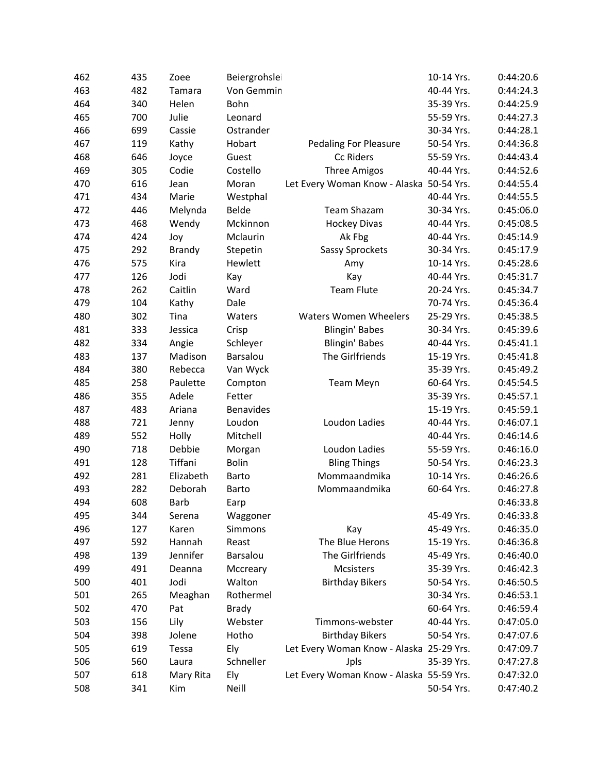| 462 | 435 | Zoee        | Beiergrohslei    |                                          | 10-14 Yrs. | 0:44:20.6 |
|-----|-----|-------------|------------------|------------------------------------------|------------|-----------|
| 463 | 482 | Tamara      | Von Gemmin       |                                          | 40-44 Yrs. | 0:44:24.3 |
| 464 | 340 | Helen       | Bohn             |                                          | 35-39 Yrs. | 0:44:25.9 |
| 465 | 700 | Julie       | Leonard          |                                          | 55-59 Yrs. | 0:44:27.3 |
| 466 | 699 | Cassie      | Ostrander        |                                          | 30-34 Yrs. | 0:44:28.1 |
| 467 | 119 | Kathy       | Hobart           | <b>Pedaling For Pleasure</b>             | 50-54 Yrs. | 0:44:36.8 |
| 468 | 646 | Joyce       | Guest            | Cc Riders                                | 55-59 Yrs. | 0:44:43.4 |
| 469 | 305 | Codie       | Costello         | <b>Three Amigos</b>                      | 40-44 Yrs. | 0:44:52.6 |
| 470 | 616 | Jean        | Moran            | Let Every Woman Know - Alaska 50-54 Yrs. |            | 0:44:55.4 |
| 471 | 434 | Marie       | Westphal         |                                          | 40-44 Yrs. | 0:44:55.5 |
| 472 | 446 | Melynda     | Belde            | <b>Team Shazam</b>                       | 30-34 Yrs. | 0:45:06.0 |
| 473 | 468 | Wendy       | Mckinnon         | <b>Hockey Divas</b>                      | 40-44 Yrs. | 0:45:08.5 |
| 474 | 424 | Joy         | Mclaurin         | Ak Fbg                                   | 40-44 Yrs. | 0:45:14.9 |
| 475 | 292 | Brandy      | Stepetin         | Sassy Sprockets                          | 30-34 Yrs. | 0:45:17.9 |
| 476 | 575 | Kira        | Hewlett          | Amy                                      | 10-14 Yrs. | 0:45:28.6 |
| 477 | 126 | Jodi        | Kay              | Kay                                      | 40-44 Yrs. | 0:45:31.7 |
| 478 | 262 | Caitlin     | Ward             | <b>Team Flute</b>                        | 20-24 Yrs. | 0:45:34.7 |
| 479 | 104 | Kathy       | Dale             |                                          | 70-74 Yrs. | 0:45:36.4 |
| 480 | 302 | Tina        | Waters           | <b>Waters Women Wheelers</b>             | 25-29 Yrs. | 0:45:38.5 |
| 481 | 333 | Jessica     | Crisp            | Blingin' Babes                           | 30-34 Yrs. | 0:45:39.6 |
| 482 | 334 | Angie       | Schleyer         | Blingin' Babes                           | 40-44 Yrs. | 0:45:41.1 |
| 483 | 137 | Madison     | Barsalou         | The Girlfriends                          | 15-19 Yrs. | 0:45:41.8 |
| 484 | 380 | Rebecca     | Van Wyck         |                                          | 35-39 Yrs. | 0:45:49.2 |
| 485 | 258 | Paulette    | Compton          | <b>Team Meyn</b>                         | 60-64 Yrs. | 0:45:54.5 |
| 486 | 355 | Adele       | Fetter           |                                          | 35-39 Yrs. | 0:45:57.1 |
| 487 | 483 | Ariana      | <b>Benavides</b> |                                          | 15-19 Yrs. | 0:45:59.1 |
| 488 | 721 | Jenny       | Loudon           | Loudon Ladies                            | 40-44 Yrs. | 0:46:07.1 |
| 489 | 552 | Holly       | Mitchell         |                                          | 40-44 Yrs. | 0:46:14.6 |
| 490 | 718 | Debbie      | Morgan           | Loudon Ladies                            | 55-59 Yrs. | 0:46:16.0 |
| 491 | 128 | Tiffani     | <b>Bolin</b>     | <b>Bling Things</b>                      | 50-54 Yrs. | 0:46:23.3 |
| 492 | 281 | Elizabeth   | Barto            | Mommaandmika                             | 10-14 Yrs. | 0:46:26.6 |
| 493 | 282 | Deborah     | Barto            | Mommaandmika                             | 60-64 Yrs. | 0:46:27.8 |
| 494 | 608 | <b>Barb</b> | Earp             |                                          |            | 0:46:33.8 |
| 495 | 344 | Serena      | Waggoner         |                                          | 45-49 Yrs. | 0:46:33.8 |
| 496 | 127 | Karen       | Simmons          | Kay                                      | 45-49 Yrs. | 0:46:35.0 |
| 497 | 592 | Hannah      | Reast            | The Blue Herons                          | 15-19 Yrs. | 0:46:36.8 |
| 498 | 139 | Jennifer    | Barsalou         | The Girlfriends                          | 45-49 Yrs. | 0:46:40.0 |
| 499 | 491 | Deanna      | Mccreary         | Mcsisters                                | 35-39 Yrs. | 0:46:42.3 |
| 500 | 401 | Jodi        | Walton           | <b>Birthday Bikers</b>                   | 50-54 Yrs. | 0:46:50.5 |
| 501 | 265 | Meaghan     | Rothermel        |                                          | 30-34 Yrs. | 0:46:53.1 |
| 502 | 470 | Pat         | <b>Brady</b>     |                                          | 60-64 Yrs. | 0:46:59.4 |
| 503 | 156 | Lily        | Webster          | Timmons-webster                          | 40-44 Yrs. | 0:47:05.0 |
| 504 | 398 | Jolene      | Hotho            | <b>Birthday Bikers</b>                   | 50-54 Yrs. | 0:47:07.6 |
| 505 | 619 | Tessa       | Ely              | Let Every Woman Know - Alaska 25-29 Yrs. |            | 0:47:09.7 |
| 506 | 560 | Laura       | Schneller        | Jpls                                     | 35-39 Yrs. | 0:47:27.8 |
| 507 | 618 | Mary Rita   | Ely              | Let Every Woman Know - Alaska 55-59 Yrs. |            | 0:47:32.0 |
| 508 | 341 | Kim         | Neill            |                                          | 50-54 Yrs. | 0:47:40.2 |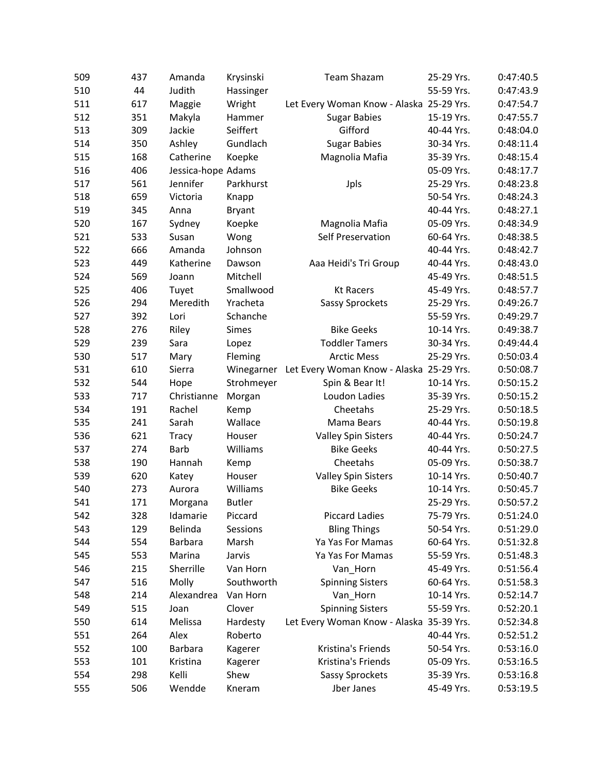| 509 | 437 | Amanda             | Krysinski     | <b>Team Shazam</b>                       | 25-29 Yrs. | 0:47:40.5 |
|-----|-----|--------------------|---------------|------------------------------------------|------------|-----------|
| 510 | 44  | Judith             | Hassinger     |                                          | 55-59 Yrs. | 0:47:43.9 |
| 511 | 617 | Maggie             | Wright        | Let Every Woman Know - Alaska 25-29 Yrs. |            | 0:47:54.7 |
| 512 | 351 | Makyla             | Hammer        | <b>Sugar Babies</b>                      | 15-19 Yrs. | 0:47:55.7 |
| 513 | 309 | Jackie             | Seiffert      | Gifford                                  | 40-44 Yrs. | 0:48:04.0 |
| 514 | 350 | Ashley             | Gundlach      | <b>Sugar Babies</b>                      | 30-34 Yrs. | 0:48:11.4 |
| 515 | 168 | Catherine          | Koepke        | Magnolia Mafia                           | 35-39 Yrs. | 0:48:15.4 |
| 516 | 406 | Jessica-hope Adams |               |                                          | 05-09 Yrs. | 0:48:17.7 |
| 517 | 561 | Jennifer           | Parkhurst     | Jpls                                     | 25-29 Yrs. | 0:48:23.8 |
| 518 | 659 | Victoria           | Knapp         |                                          | 50-54 Yrs. | 0:48:24.3 |
| 519 | 345 | Anna               | <b>Bryant</b> |                                          | 40-44 Yrs. | 0:48:27.1 |
| 520 | 167 | Sydney             | Koepke        | Magnolia Mafia                           | 05-09 Yrs. | 0:48:34.9 |
| 521 | 533 | Susan              | Wong          | Self Preservation                        | 60-64 Yrs. | 0:48:38.5 |
| 522 | 666 | Amanda             | Johnson       |                                          | 40-44 Yrs. | 0:48:42.7 |
| 523 | 449 | Katherine          | Dawson        | Aaa Heidi's Tri Group                    | 40-44 Yrs. | 0:48:43.0 |
| 524 | 569 | Joann              | Mitchell      |                                          | 45-49 Yrs. | 0:48:51.5 |
| 525 | 406 | Tuyet              | Smallwood     | <b>Kt Racers</b>                         | 45-49 Yrs. | 0:48:57.7 |
| 526 | 294 | Meredith           | Yracheta      | Sassy Sprockets                          | 25-29 Yrs. | 0:49:26.7 |
| 527 | 392 | Lori               | Schanche      |                                          | 55-59 Yrs. | 0:49:29.7 |
| 528 | 276 | Riley              | <b>Simes</b>  | <b>Bike Geeks</b>                        | 10-14 Yrs. | 0:49:38.7 |
| 529 | 239 | Sara               | Lopez         | <b>Toddler Tamers</b>                    | 30-34 Yrs. | 0:49:44.4 |
| 530 | 517 | Mary               | Fleming       | <b>Arctic Mess</b>                       | 25-29 Yrs. | 0:50:03.4 |
| 531 | 610 | Sierra             | Winegarner    | Let Every Woman Know - Alaska 25-29 Yrs. |            | 0:50:08.7 |
| 532 | 544 | Hope               | Strohmeyer    | Spin & Bear It!                          | 10-14 Yrs. | 0:50:15.2 |
| 533 | 717 | Christianne        | Morgan        | Loudon Ladies                            | 35-39 Yrs. | 0:50:15.2 |
| 534 | 191 | Rachel             | Kemp          | Cheetahs                                 | 25-29 Yrs. | 0:50:18.5 |
| 535 | 241 | Sarah              | Wallace       | Mama Bears                               | 40-44 Yrs. | 0:50:19.8 |
| 536 | 621 | Tracy              | Houser        | <b>Valley Spin Sisters</b>               | 40-44 Yrs. | 0:50:24.7 |
| 537 | 274 | Barb               | Williams      | <b>Bike Geeks</b>                        | 40-44 Yrs. | 0:50:27.5 |
| 538 | 190 | Hannah             | Kemp          | Cheetahs                                 | 05-09 Yrs. | 0:50:38.7 |
| 539 | 620 | Katey              | Houser        | <b>Valley Spin Sisters</b>               | 10-14 Yrs. | 0:50:40.7 |
| 540 | 273 | Aurora             | Williams      | <b>Bike Geeks</b>                        | 10-14 Yrs. | 0:50:45.7 |
| 541 | 171 | Morgana            | <b>Butler</b> |                                          | 25-29 Yrs. | 0:50:57.2 |
| 542 | 328 | Idamarie           | Piccard       | <b>Piccard Ladies</b>                    | 75-79 Yrs. | 0:51:24.0 |
| 543 | 129 | Belinda            | Sessions      | <b>Bling Things</b>                      | 50-54 Yrs. | 0:51:29.0 |
| 544 | 554 | Barbara            | Marsh         | Ya Yas For Mamas                         | 60-64 Yrs. | 0:51:32.8 |
| 545 | 553 | Marina             | Jarvis        | Ya Yas For Mamas                         | 55-59 Yrs. | 0:51:48.3 |
| 546 | 215 | Sherrille          | Van Horn      | Van_Horn                                 | 45-49 Yrs. | 0:51:56.4 |
| 547 | 516 | Molly              | Southworth    | <b>Spinning Sisters</b>                  | 60-64 Yrs. | 0:51:58.3 |
| 548 | 214 | Alexandrea         | Van Horn      | Van_Horn                                 | 10-14 Yrs. | 0:52:14.7 |
| 549 | 515 | Joan               | Clover        | <b>Spinning Sisters</b>                  | 55-59 Yrs. | 0:52:20.1 |
| 550 | 614 | Melissa            | Hardesty      | Let Every Woman Know - Alaska 35-39 Yrs. |            | 0:52:34.8 |
| 551 | 264 | Alex               | Roberto       |                                          | 40-44 Yrs. | 0:52:51.2 |
| 552 | 100 | Barbara            | Kagerer       | Kristina's Friends                       | 50-54 Yrs. | 0:53:16.0 |
| 553 | 101 | Kristina           | Kagerer       | Kristina's Friends                       | 05-09 Yrs. | 0:53:16.5 |
| 554 | 298 | Kelli              | Shew          | Sassy Sprockets                          | 35-39 Yrs. | 0:53:16.8 |
| 555 | 506 | Wendde             | Kneram        | Jber Janes                               | 45-49 Yrs. | 0:53:19.5 |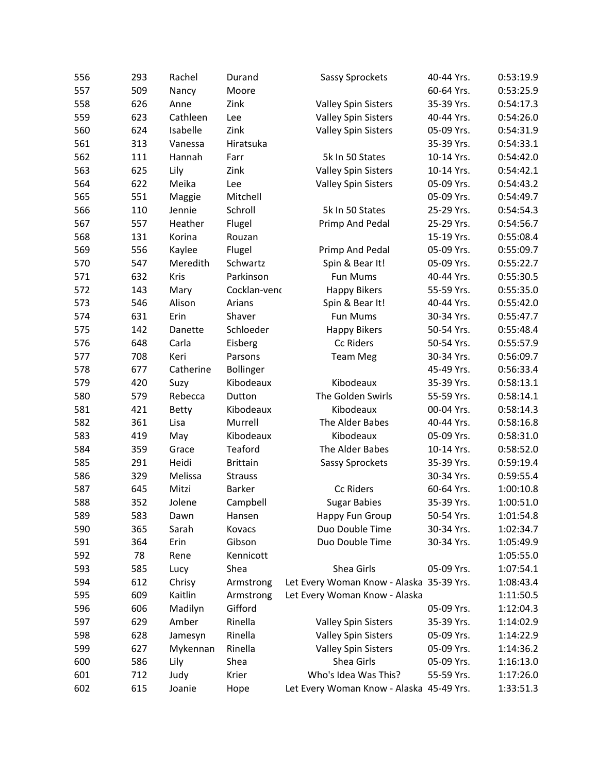| 556 | 293 | Rachel       | Durand          | Sassy Sprockets                          | 40-44 Yrs. | 0:53:19.9 |
|-----|-----|--------------|-----------------|------------------------------------------|------------|-----------|
| 557 | 509 | Nancy        | Moore           |                                          | 60-64 Yrs. | 0:53:25.9 |
| 558 | 626 | Anne         | Zink            | <b>Valley Spin Sisters</b>               | 35-39 Yrs. | 0:54:17.3 |
| 559 | 623 | Cathleen     | Lee             | <b>Valley Spin Sisters</b>               | 40-44 Yrs. | 0:54:26.0 |
| 560 | 624 | Isabelle     | Zink            | <b>Valley Spin Sisters</b>               | 05-09 Yrs. | 0:54:31.9 |
| 561 | 313 | Vanessa      | Hiratsuka       |                                          | 35-39 Yrs. | 0:54:33.1 |
| 562 | 111 | Hannah       | Farr            | 5k In 50 States                          | 10-14 Yrs. | 0:54:42.0 |
| 563 | 625 | Lily         | Zink            | <b>Valley Spin Sisters</b>               | 10-14 Yrs. | 0:54:42.1 |
| 564 | 622 | Meika        | Lee             | <b>Valley Spin Sisters</b>               | 05-09 Yrs. | 0:54:43.2 |
| 565 | 551 | Maggie       | Mitchell        |                                          | 05-09 Yrs. | 0:54:49.7 |
| 566 | 110 | Jennie       | Schroll         | 5k In 50 States                          | 25-29 Yrs. | 0:54:54.3 |
| 567 | 557 | Heather      | Flugel          | Primp And Pedal                          | 25-29 Yrs. | 0:54:56.7 |
| 568 | 131 | Korina       | Rouzan          |                                          | 15-19 Yrs. | 0:55:08.4 |
| 569 | 556 | Kaylee       | Flugel          | Primp And Pedal                          | 05-09 Yrs. | 0:55:09.7 |
| 570 | 547 | Meredith     | Schwartz        | Spin & Bear It!                          | 05-09 Yrs. | 0:55:22.7 |
| 571 | 632 | Kris         | Parkinson       | Fun Mums                                 | 40-44 Yrs. | 0:55:30.5 |
| 572 | 143 | Mary         | Cocklan-venc    | <b>Happy Bikers</b>                      | 55-59 Yrs. | 0:55:35.0 |
| 573 | 546 | Alison       | Arians          | Spin & Bear It!                          | 40-44 Yrs. | 0:55:42.0 |
| 574 | 631 | Erin         | Shaver          | Fun Mums                                 | 30-34 Yrs. | 0:55:47.7 |
| 575 | 142 | Danette      | Schloeder       | <b>Happy Bikers</b>                      | 50-54 Yrs. | 0:55:48.4 |
| 576 | 648 | Carla        | Eisberg         | Cc Riders                                | 50-54 Yrs. | 0:55:57.9 |
| 577 | 708 | Keri         | Parsons         | <b>Team Meg</b>                          | 30-34 Yrs. | 0:56:09.7 |
| 578 | 677 | Catherine    | Bollinger       |                                          | 45-49 Yrs. | 0:56:33.4 |
| 579 | 420 | Suzy         | Kibodeaux       | Kibodeaux                                | 35-39 Yrs. | 0:58:13.1 |
| 580 | 579 | Rebecca      | Dutton          | The Golden Swirls                        | 55-59 Yrs. | 0:58:14.1 |
| 581 | 421 | <b>Betty</b> | Kibodeaux       | Kibodeaux                                | 00-04 Yrs. | 0:58:14.3 |
| 582 | 361 | Lisa         | Murrell         | The Alder Babes                          | 40-44 Yrs. | 0:58:16.8 |
| 583 | 419 | May          | Kibodeaux       | Kibodeaux                                | 05-09 Yrs. | 0:58:31.0 |
| 584 | 359 | Grace        | Teaford         | The Alder Babes                          | 10-14 Yrs. | 0:58:52.0 |
| 585 | 291 | Heidi        | <b>Brittain</b> | Sassy Sprockets                          | 35-39 Yrs. | 0:59:19.4 |
| 586 | 329 | Melissa      | <b>Strauss</b>  |                                          | 30-34 Yrs. | 0:59:55.4 |
| 587 | 645 | Mitzi        | <b>Barker</b>   | Cc Riders                                | 60-64 Yrs. | 1:00:10.8 |
| 588 | 352 | Jolene       | Campbell        | <b>Sugar Babies</b>                      | 35-39 Yrs. | 1:00:51.0 |
| 589 | 583 | Dawn         | Hansen          | Happy Fun Group                          | 50-54 Yrs. | 1:01:54.8 |
| 590 | 365 | Sarah        | Kovacs          | Duo Double Time                          | 30-34 Yrs. | 1:02:34.7 |
| 591 | 364 | Erin         | Gibson          | Duo Double Time                          | 30-34 Yrs. | 1:05:49.9 |
| 592 | 78  | Rene         | Kennicott       |                                          |            | 1:05:55.0 |
| 593 | 585 | Lucy         | Shea            | Shea Girls                               | 05-09 Yrs. | 1:07:54.1 |
| 594 | 612 | Chrisy       | Armstrong       | Let Every Woman Know - Alaska 35-39 Yrs. |            | 1:08:43.4 |
| 595 | 609 | Kaitlin      | Armstrong       | Let Every Woman Know - Alaska            |            | 1:11:50.5 |
| 596 | 606 | Madilyn      | Gifford         |                                          | 05-09 Yrs. | 1:12:04.3 |
| 597 | 629 | Amber        | Rinella         | <b>Valley Spin Sisters</b>               | 35-39 Yrs. | 1:14:02.9 |
| 598 | 628 | Jamesyn      | Rinella         | <b>Valley Spin Sisters</b>               | 05-09 Yrs. | 1:14:22.9 |
| 599 | 627 | Mykennan     | Rinella         | <b>Valley Spin Sisters</b>               | 05-09 Yrs. | 1:14:36.2 |
| 600 | 586 | Lily         | Shea            | Shea Girls                               | 05-09 Yrs. | 1:16:13.0 |
| 601 | 712 | Judy         | Krier           | Who's Idea Was This?                     | 55-59 Yrs. | 1:17:26.0 |
| 602 | 615 | Joanie       | Hope            | Let Every Woman Know - Alaska 45-49 Yrs. |            | 1:33:51.3 |